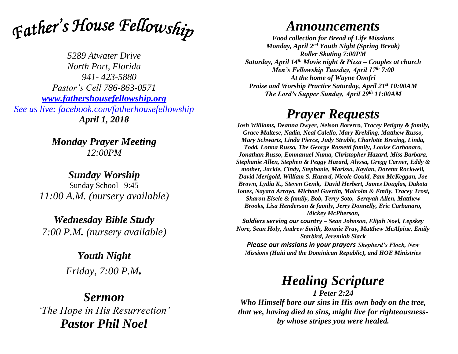Father's House Fellowship

*5289 Atwater Drive North Port, Florida 941- 423-5880 Pastor's Cell 786-863-0571 [www.fathershousefellowship.org](http://www.fathershousefellowship.org/) See us live: facebook.com/fatherhousefellowship April 1, 2018*

> *Monday Prayer Meeting 12:00PM*

*Sunday Worship* Sunday School 9:45 *11:00 A.M. (nursery available)*

*Wednesday Bible Study 7:00 P.M. (nursery available)*

> *Youth Night Friday, 7:00 P.M.*

### *Sermon 'The Hope in His Resurrection' Pastor Phil Noel*

## *Announcements*

*Food collection for Bread of Life Missions Monday, April 2nd Youth Night (Spring Break) Roller Skating 7:00PM Saturday, April 14th Movie night & Pizza – Couples at church Men's Fellowship Tuesday, April 17th 7:00 At the home of Wayne Onofri Praise and Worship Practice Saturday, April 21st 10:00AM The Lord's Supper Sunday, April 29th 11:00AM*

## *Prayer Requests*

*Josh Williams, Deanna Dwyer, Nelson Borerro, Tracey Petigny & family, Grace Maltese, Nadia, Neal Calello, Mary Krehling, Matthew Russo, Mary Schwartz, Linda Pierce, Judy Struble, Charlotte Brezing, Linda, Todd, Lonna Russo, The George Rossetti family, Louise Carbanaro, Jonathan Russo, Emmanuel Numa, Christopher Hazard, Miss Barbara, Stephanie Allen, Stephen & Peggy Hazard, Alyssa, Gregg Carner, Eddy & mother, Jackie, Cindy, Stephanie, Marissa, Kaylan, Doretta Rockwell, David Merigold, William S. Hazard, Nicole Gould, Pam McKeggan, Joe Brown, Lydia K., Steven Genik, David Herbert, James Douglas, Dakota Jones, Nayara Arroyo, Michael Guertin, Malcolm & Emily, Tracey Trost, Sharon Eisele & family, Bob, Terry Soto, Serayah Allen, Matthew Brooks, Lisa Henderson & family, Jerry Donnelly, Eric Carbanaro, Mickey McPherson,* 

*Soldiers serving our country – Sean Johnson, Elijah Noel, Lepskey Nore, Sean Holy, Andrew Smith, Ronnie Fray, Matthew McAlpine, Emily Starbird, Jeremiah Slack*

*Please our missions in your prayers Shepherd's Flock, New Missions (Haiti and the Dominican Republic), and HOE Ministries*

# *Healing Scripture*

*1 Peter 2:24 Who Himself bore our sins in His own body on the tree, that we, having died to sins, might live for righteousnessby whose stripes you were healed.*